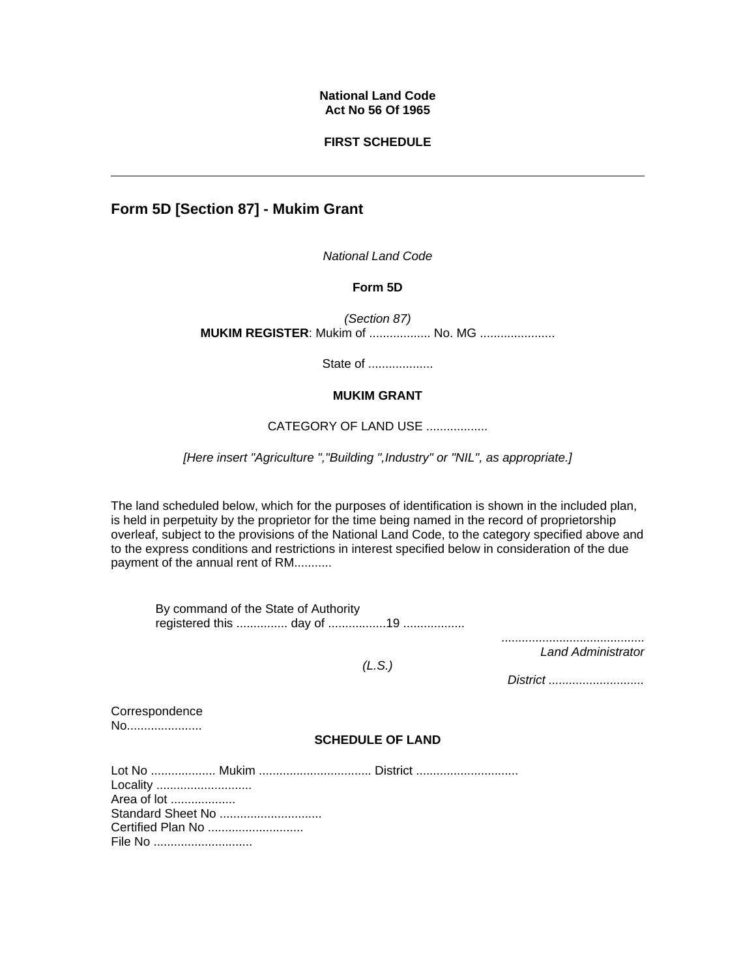# **National Land Code Act No 56 Of 1965**

# **FIRST SCHEDULE**

# **Form 5D [Section 87] - Mukim Grant**

*National Land Code*

## **Form 5D**

*(Section 87)* **MUKIM REGISTER: Mukim of ................... No. MG .....................** 

State of ...................

# **MUKIM GRANT**

#### CATEGORY OF LAND USE ..................

*[Here insert "Agriculture ","Building ",Industry" or "NIL", as appropriate.]*

The land scheduled below, which for the purposes of identification is shown in the included plan, is held in perpetuity by the proprietor for the time being named in the record of proprietorship overleaf, subject to the provisions of the National Land Code, to the category specified above and to the express conditions and restrictions in interest specified below in consideration of the due payment of the annual rent of RM...........

By command of the State of Authority registered this ............... day of .................19 ..................

> .......................................... *Land Administrator*

*(L.S.)*

*District ............................* 

**Correspondence** No.....................

## **SCHEDULE OF LAND**

| Locality          |  |  |
|-------------------|--|--|
| Area of lot       |  |  |
| Standard Sheet No |  |  |
| Certified Plan No |  |  |
|                   |  |  |